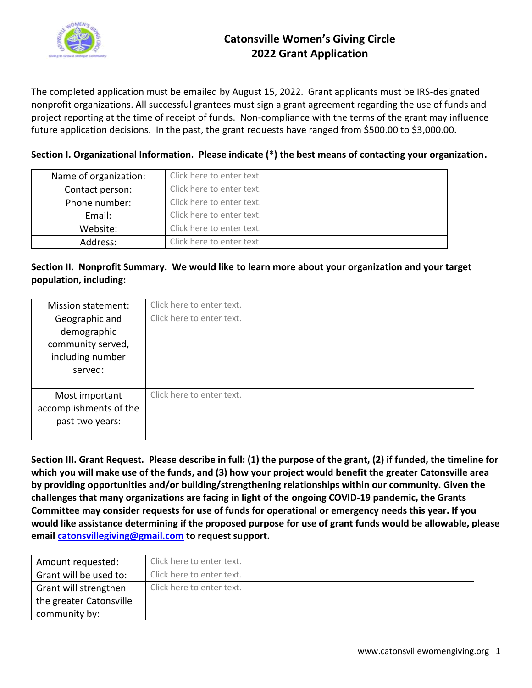

## **Catonsville Women's Giving Circle 2022 Grant Application**

The completed application must be emailed by August 15, 2022. Grant applicants must be IRS-designated nonprofit organizations. All successful grantees must sign a grant agreement regarding the use of funds and project reporting at the time of receipt of funds. Non-compliance with the terms of the grant may influence future application decisions. In the past, the grant requests have ranged from \$500.00 to \$3,000.00.

| Name of organization: | Click here to enter text. |
|-----------------------|---------------------------|
| Contact person:       | Click here to enter text. |
| Phone number:         | Click here to enter text. |
| Email:                | Click here to enter text. |
| Website:              | Click here to enter text. |
| Address:              | Click here to enter text. |

## **Section I. Organizational Information. Please indicate (\*) the best means of contacting your organization.**

## **Section II. Nonprofit Summary. We would like to learn more about your organization and your target population, including:**

| Mission statement:                                                                | Click here to enter text. |
|-----------------------------------------------------------------------------------|---------------------------|
| Geographic and<br>demographic<br>community served,<br>including number<br>served: | Click here to enter text. |
| Most important<br>accomplishments of the<br>past two years:                       | Click here to enter text. |

**Section III. Grant Request. Please describe in full: (1) the purpose of the grant, (2) if funded, the timeline for which you will make use of the funds, and (3) how your project would benefit the greater Catonsville area by providing opportunities and/or building/strengthening relationships within our community. Given the challenges that many organizations are facing in light of the ongoing COVID-19 pandemic, the Grants Committee may consider requests for use of funds for operational or emergency needs this year. If you would like assistance determining if the proposed purpose for use of grant funds would be allowable, please email [catonsvillegiving@gmail.com](mailto:catonsvillegiving@gmail.com) to request support.**

| Amount requested:       | Click here to enter text. |
|-------------------------|---------------------------|
| Grant will be used to:  | Click here to enter text. |
| Grant will strengthen   | Click here to enter text. |
| the greater Catonsville |                           |
| community by:           |                           |